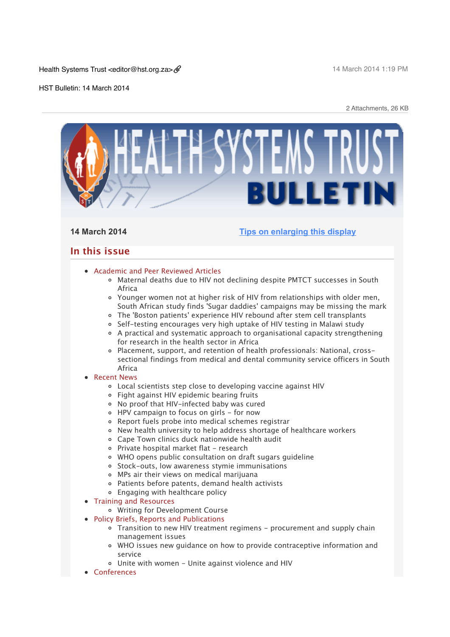Health Systems Trust <editor@hst.org.za>

14 March 2014 1:19 PM

HST Bulletin: 14 March 2014

2 Attachments, 26 KB

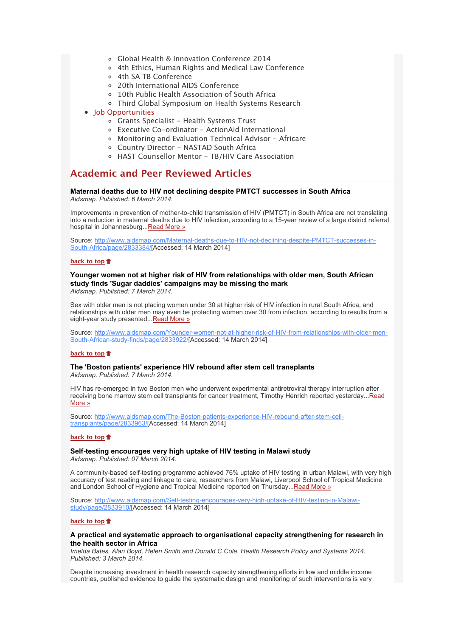- [Global Health & Innovation Conference 2014](x-msg://272/#C_6)
- [4th Ethics, Human Rights and Medical Law Conference](x-msg://272/#C_1)
- [4th SA TB Conference](x-msg://272/#C_2)
- [20th International AIDS Conference](x-msg://272/#C_3)
- [10th Public Health Association of South Africa](x-msg://272/#C_4)
- [Third Global Symposium on Health Systems Research](x-msg://272/#C_5)
- [Job Opportunities](x-msg://272/#jobs)
	- [Grants Specialist Health Systems Trust](x-msg://272/#J_1)
	- [Executive Co-ordinator ActionAid International](x-msg://272/#J_2)
	- [Monitoring and Evaluation Technical Advisor Africare](x-msg://272/#J_3)
	- [Country Director NASTAD South Africa](x-msg://272/#J_4)
	- [HAST Counsellor Mentor TB/HIV Care Association](x-msg://272/#J_5)

# **Academic and Peer Reviewed Articles**

#### **Maternal deaths due to HIV not declining despite PMTCT successes in South Africa** *Aidsmap. Published: 6 March 2014.*

Improvements in prevention of mother-to-child transmission of HIV (PMTCT) in South Africa are not translating into a reduction in maternal deaths due to HIV infection, according to a 15-year review of a large district referral hospital in Johannesburg..[.Read More »](http://bulletin.hst.org.za//lt.php?id=K09RCVxTUgABSlNTBEUEAFdT)

[Source: http://www.aidsmap.com/Maternal-deaths-due-to-HIV-not-declining-despite-PMTCT-successes-in-](http://bulletin.hst.org.za//lt.php?id=K09RCVxTUgABSlNTBEUEAFdT)South-Africa/page/2833384/[Accessed: 14 March 2014]

# **[back to top](x-msg://272/#top)**

# **Younger women not at higher risk of HIV from relationships with older men, South African study finds 'Sugar daddies' campaigns may be missing the mark**

*Aidsmap. Published: 7 March 2014.*

Sex with older men is not placing women under 30 at higher risk of HIV infection in rural South Africa, and relationships with older men may even be protecting women over 30 from infection, according to results from a eight-year study presented... Read More »

[Source: http://www.aidsmap.com/Younger-women-not-at-higher-risk-of-HIV-from-relationships-with-older-men-](http://bulletin.hst.org.za//lt.php?id=K09RCVxTUgAASlNTBEUEAFdT)South-African-study-finds/page/2833922/[Accessed: 14 March 2014]

# **[back to top](x-msg://272/#top)**

# **The 'Boston patients' experience HIV rebound after stem cell transplants**

*Aidsmap. Published: 7 March 2014.*

HIV has re-emerged in two Boston men who underwent experimental antiretroviral therapy interruption after [receiving bone marrow stem cell transplants for cancer treatment, Timothy Henrich reported yesterday...Read](http://bulletin.hst.org.za//lt.php?id=K09RCVxTUgAPSlNTBEUEAFdT) More »

[Source: http://www.aidsmap.com/The-Boston-patients-experience-HIV-rebound-after-stem-cell](http://bulletin.hst.org.za//lt.php?id=K09RCVxTUgAPSlNTBEUEAFdT)transplants/page/2833963/[Accessed: 14 March 2014]

### **[back to top](x-msg://272/#top)**

# **Self-testing encourages very high uptake of HIV testing in Malawi study**

*Aidsmap. Published: 07 March 2014.*

A community-based self-testing programme achieved 76% uptake of HIV testing in urban Malawi, with very high accuracy of test reading and linkage to care, researchers from Malawi, Liverpool School of Tropical Medicine and London School of Hygiene and Tropical Medicine reported on Thursday..[.Read More »](http://bulletin.hst.org.za//lt.php?id=K09RCVxTUgAOSlNTBEUEAFdT)

[Source: http://www.aidsmap.com/Self-testing-encourages-very-high-uptake-of-HIV-testing-in-Malawi](http://bulletin.hst.org.za//lt.php?id=K09RCVxTUgAOSlNTBEUEAFdT)study/page/2833910/[Accessed: 14 March 2014]

#### **[back to top](x-msg://272/#top)**

## **A practical and systematic approach to organisational capacity strengthening for research in the health sector in Africa**

*Imelda Bates, Alan Boyd, Helen Smith and Donald C Cole. Health Research Policy and Systems 2014. Published: 3 March 2014.*

Despite increasing investment in health research capacity strengthening efforts in low and middle income countries, published evidence to guide the systematic design and monitoring of such interventions is very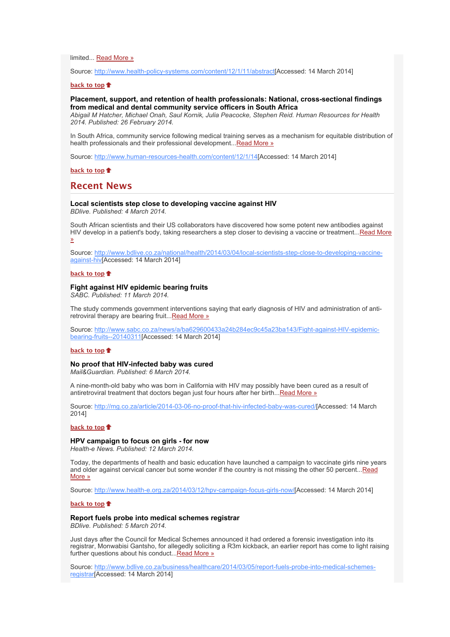limited... [Read More »](http://bulletin.hst.org.za//lt.php?id=K09RCVxTUgEHSlNTBEUEAFdT)

Source: [http://www.health-policy-systems.com/content/12/1/11/abstract\[](http://bulletin.hst.org.za//lt.php?id=K09RCVxTUgEHSlNTBEUEAFdT)Accessed: 14 March 2014]

#### **[back to top](x-msg://272/#top)**

# **Placement, support, and retention of health professionals: National, cross-sectional findings from medical and dental community service officers in South Africa**

*Abigail M Hatcher, Michael Onah, Saul Kornik, Julia Peacocke, Stephen Reid. Human Resources for Health 2014. Published: 26 February 2014.*

In South Africa, community service following medical training serves as a mechanism for equitable distribution of health professionals and their professional development... Read More »

Source: [http://www.human-resources-health.com/content/12/1/14\[](http://bulletin.hst.org.za//lt.php?id=K09RCVxTUgEGSlNTBEUEAFdT)Accessed: 14 March 2014]

**[back to top](x-msg://272/#top)**

# **Recent News**

# **Local scientists step close to developing vaccine against HIV**

*BDlive. Published: 4 March 2014.*

South African scientists and their US collaborators have discovered how some potent new antibodies against [HIV develop in a patient's body, taking researchers a step closer to devising a vaccine or treatment...Read More](http://bulletin.hst.org.za//lt.php?id=K09RCVxTUgEFSlNTBEUEAFdT) »

[Source: http://www.bdlive.co.za/national/health/2014/03/04/local-scientists-step-close-to-developing-vaccine](http://bulletin.hst.org.za//lt.php?id=K09RCVxTUgEESlNTBEUEAFdT)against-hiv[Accessed: 14 March 2014]

### **[back to top](x-msg://272/#top)**

# **Fight against HIV epidemic bearing fruits**

*SABC. Published: 11 March 2014.*

The study commends government interventions saying that early diagnosis of HIV and administration of antiretroviral therapy are bearing fruit... Read More »

[Source: http://www.sabc.co.za/news/a/ba629600433a24b284ec9c45a23ba143/Fight-against-HIV-epidemic](http://bulletin.hst.org.za//lt.php?id=K09RCVxTUgEDSlNTBEUEAFdT)bearing-fruits--20140311[Accessed: 14 March 2014]

# **[back to top](x-msg://272/#top)**

#### **No proof that HIV-infected baby was cured**

*Mail&Guardian. Published: 6 March 2014.*

A nine-month-old baby who was born in California with HIV may possibly have been cured as a result of antiretroviral treatment that doctors began just four hours after her birth..[.Read More »](http://bulletin.hst.org.za//lt.php?id=K09RCVxTUgECSlNTBEUEAFdT)

Source: [http://mg.co.za/article/2014-03-06-no-proof-that-hiv-infected-baby-was-cured/\[](http://bulletin.hst.org.za//lt.php?id=K09RCVxTUgEBSlNTBEUEAFdT)Accessed: 14 March 2014]

# **[back to top](x-msg://272/#top)**

### **HPV campaign to focus on girls - for now**

*Health-e News. Published: 12 March 2014.*

Today, the departments of health and basic education have launched a campaign to vaccinate girls nine years [and older against cervical cancer but some wonder if the country is not missing the other 50 percent...Read](http://bulletin.hst.org.za//lt.php?id=K09RCVxTUgEASlNTBEUEAFdT) More »

Source: [http://www.health-e.org.za/2014/03/12/hpv-campaign-focus-girls-now/\[](http://bulletin.hst.org.za//lt.php?id=K09RCVxTUgEASlNTBEUEAFdT)Accessed: 14 March 2014]

# **[back to top](x-msg://272/#top)**

# **Report fuels probe into medical schemes registrar**

*BDlive. Published: 5 March 2014.*

Just days after the Council for Medical Schemes announced it had ordered a forensic investigation into its registrar, Monwabisi Gantsho, for allegedly soliciting a R3m kickback, an earlier report has come to light raising further questions about his conduct..[.Read More »](http://bulletin.hst.org.za//lt.php?id=K09RCVxTUgEPSlNTBEUEAFdT)

[Source: http://www.bdlive.co.za/business/healthcare/2014/03/05/report-fuels-probe-into-medical-schemes](http://bulletin.hst.org.za//lt.php?id=K09RCVxTUgEOSlNTBEUEAFdT)registrar[Accessed: 14 March 2014]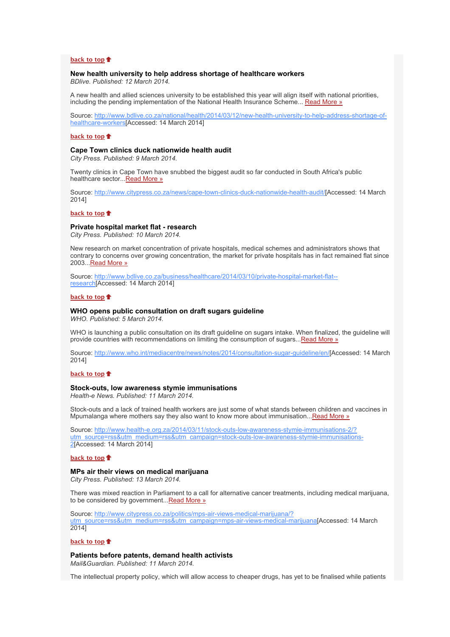#### **[back to top](x-msg://272/#top)**

#### **New health university to help address shortage of healthcare workers**

*BDlive. Published: 12 March 2014.*

A new health and allied sciences university to be established this year will align itself with national priorities, including the pending implementation of the National Health Insurance Scheme... [Read More »](http://bulletin.hst.org.za//lt.php?id=K09RCVxTUg4HSlNTBEUEAFdT)

[Source: http://www.bdlive.co.za/national/health/2014/03/12/new-health-university-to-help-address-shortage-of](http://bulletin.hst.org.za//lt.php?id=K09RCVxTUg4HSlNTBEUEAFdT)healthcare-workers[Accessed: 14 March 2014]

#### **[back to top](x-msg://272/#top)**

## **Cape Town clinics duck nationwide health audit**

*City Press. Published: 9 March 2014.*

Twenty clinics in Cape Town have snubbed the biggest audit so far conducted in South Africa's public healthcare sector..[.Read More »](http://bulletin.hst.org.za//lt.php?id=K09RCVxTUg4GSlNTBEUEAFdT)

Source: [http://www.citypress.co.za/news/cape-town-clinics-duck-nationwide-health-audit/\[](http://bulletin.hst.org.za//lt.php?id=K09RCVxTUg4FSlNTBEUEAFdT)Accessed: 14 March 2014]

#### **[back to top](x-msg://272/#top)**

### **Private hospital market flat - research**

*City Press. Published: 10 March 2014.*

New research on market concentration of private hospitals, medical schemes and administrators shows that contrary to concerns over growing concentration, the market for private hospitals has in fact remained flat since 2003..[.Read More »](http://bulletin.hst.org.za//lt.php?id=K09RCVxTUg4ESlNTBEUEAFdT)

[Source: http://www.bdlive.co.za/business/healthcare/2014/03/10/private-hospital-market-flat-](http://bulletin.hst.org.za//lt.php?id=K09RCVxTUg4DSlNTBEUEAFdT) research[Accessed: 14 March 2014]

#### **[back to top](x-msg://272/#top)**

#### **WHO opens public consultation on draft sugars guideline**

*WHO. Published: 5 March 2014.*

WHO is launching a public consultation on its draft guideline on sugars intake. When finalized, the guideline will provide countries with recommendations on limiting the consumption of sugars..[.Read More »](http://bulletin.hst.org.za//lt.php?id=K09RCVxTUg4CSlNTBEUEAFdT)

Source: [http://www.who.int/mediacentre/news/notes/2014/consultation-sugar-guideline/en/\[](http://bulletin.hst.org.za//lt.php?id=K09RCVxTUg4CSlNTBEUEAFdT)Accessed: 14 March 2014]

#### **[back to top](x-msg://272/#top)**

#### **Stock-outs, low awareness stymie immunisations**

*Health-e News. Published: 11 March 2014.*

Stock-outs and a lack of trained health workers are just some of what stands between children and vaccines in Mpumalanga where mothers say they also want to know more about immunisation... Read More »

Source: http://www.health-e.org.za/2014/03/11/stock-outs-low-awareness-stymie-immunisations-2/? [utm\\_source=rss&utm\\_medium=rss&utm\\_campaign=stock-outs-low-awareness-stymie-immunisations-](http://bulletin.hst.org.za//lt.php?id=K09RCVxTUg4ASlNTBEUEAFdT)2[Accessed: 14 March 2014]

#### **[back to top](x-msg://272/#top)**

#### **MPs air their views on medical marijuana**

*City Press. Published: 13 March 2014.*

There was mixed reaction in Parliament to a call for alternative cancer treatments, including medical marijuana, to be considered by government...[Read More »](http://bulletin.hst.org.za//lt.php?id=K09RCVxTUg4PSlNTBEUEAFdT)

Source: http://www.citypress.co.za/politics/mps-air-views-medical-marijuana/? [utm\\_source=rss&utm\\_medium=rss&utm\\_campaign=mps-air-views-medical-marijuana](http://bulletin.hst.org.za//lt.php?id=K09RCVxTUg4PSlNTBEUEAFdT)[Accessed: 14 March 2014]

#### **[back to top](x-msg://272/#top)**

**Patients before patents, demand health activists**

*Mail&Guardian. Published: 11 March 2014.*

The intellectual property policy, which will allow access to cheaper drugs, has yet to be finalised while patients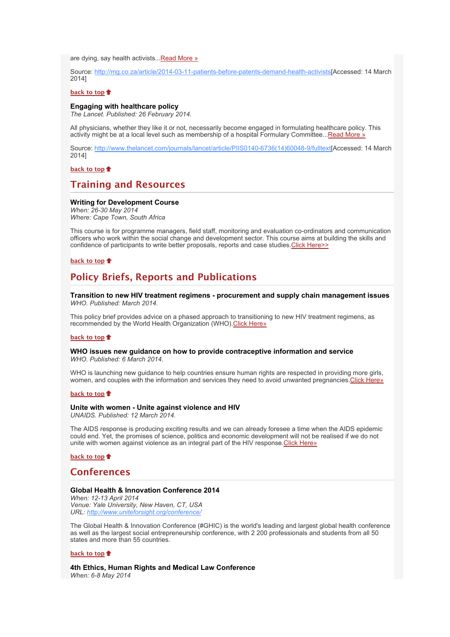are dying, say health activists..[.Read More »](http://bulletin.hst.org.za//lt.php?id=K09RCVxTUg4OSlNTBEUEAFdT)

Source: [http://mg.co.za/article/2014-03-11-patients-before-patents-demand-health-activists\[](http://bulletin.hst.org.za//lt.php?id=K09RCVxTUg4OSlNTBEUEAFdT)Accessed: 14 March 2014]

#### **[back to top](x-msg://272/#top)**

#### **Engaging with healthcare policy**

*The Lancet. Published: 26 February 2014.*

All physicians, whether they like it or not, necessarily become engaged in formulating healthcare policy. This activity might be at a local level such as membership of a hospital Formulary Committee..[.Read More »](http://bulletin.hst.org.za//lt.php?id=K09RCVxTUg8HSlNTBEUEAFdT)

Source: [http://www.thelancet.com/journals/lancet/article/PIIS0140-6736\(14\)60048-9/fulltext\[](http://bulletin.hst.org.za//lt.php?id=K09RCVxTUg8HSlNTBEUEAFdT)Accessed: 14 March 2014]

**[back to top](x-msg://272/#top)**

# **Training and Resources**

### **Writing for Development Course**

*When: 26-30 May 2014 Where: Cape Town, South Africa*

This course is for programme managers, field staff, monitoring and evaluation co-ordinators and communication officers who work within the social change and development sector. This course aims at building the skills and confidence of participants to write better proposals, reports and case studies. Click Here>>

# **[back to top](x-msg://272/#top)**

# **Policy Briefs, Reports and Publications**

**Transition to new HIV treatment regimens - procurement and supply chain management issues** *WHO. Published: March 2014.*

This policy brief provides advice on a phased approach to transitioning to new HIV treatment regimens, as recommended by the World Health Organization (WHO). Click Here»

#### **[back to top](x-msg://272/#top)**

#### **WHO issues new guidance on how to provide contraceptive information and service** *WHO. Published: 6 March 2014.*

WHO is launching new guidance to help countries ensure human rights are respected in providing more girls, women, and couples with the information and services they need to avoid unwanted pregnancies[.Click Here»](http://bulletin.hst.org.za//lt.php?id=K09RCVxTUg8ESlNTBEUEAFdT)

#### **[back to top](x-msg://272/#top)**

#### **Unite with women - Unite against violence and HIV**

*UNAIDS. Published: 12 March 2014.*

The AIDS response is producing exciting results and we can already foresee a time when the AIDS epidemic could end. Yet, the promises of science, politics and economic development will not be realised if we do not unite with women against violence as an integral part of the HIV response. Click Here»

**[back to top](x-msg://272/#top)**

# **Conferences**

#### **Global Health & Innovation Conference 2014**

*When: 12-13 April 2014 Venue: Yale University, New Haven, CT, USA URL: [http://www.uniteforsight.org/conference/](http://bulletin.hst.org.za//lt.php?id=K09RCVxTUg8CSlNTBEUEAFdT)*

The Global Health & Innovation Conference (#GHIC) is the world's leading and largest global health conference as well as the largest social entrepreneurship conference, with 2 200 professionals and students from all 50 states and more than 55 countries.

#### **[back to top](x-msg://272/#top)**

**4th Ethics, Human Rights and Medical Law Conference** *When: 6-8 May 2014*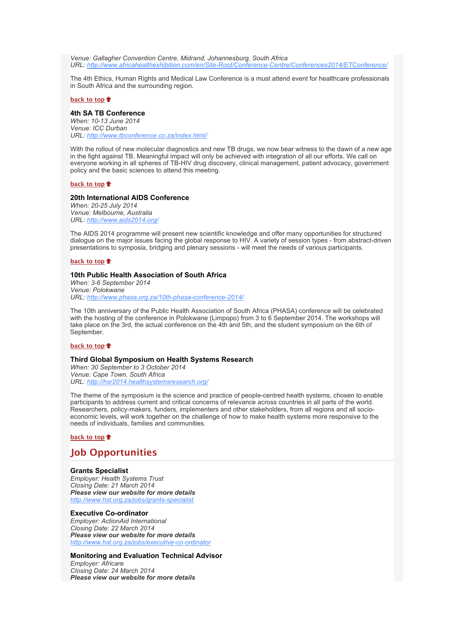*Venue: Gallagher Convention Centre, Midrand, Johannesburg, South Africa URL: [http://www.africahealthexhibition.com/en/Site-Root/Conference-Centre/Conferences2014/ETConference/](http://bulletin.hst.org.za//lt.php?id=K09RCVxTUg8BSlNTBEUEAFdT)*

The 4th Ethics, Human Rights and Medical Law Conference is a must attend event for healthcare professionals in South Africa and the surrounding region.

# **[back to top](x-msg://272/#top)**

# **4th SA TB Conference**

*When: 10-13 June 2014 Venue: ICC Durban URL: [http://www.tbconference.co.za/index.html/](http://bulletin.hst.org.za//lt.php?id=K09RCVxTUg8ASlNTBEUEAFdT)*

With the rollout of new molecular diagnostics and new TB drugs, we now bear witness to the dawn of a new age in the fight against TB. Meaningful impact will only be achieved with integration of all our efforts. We call on everyone working in all spheres of TB-HIV drug discovery, clinical management, patient advocacy, government policy and the basic sciences to attend this meeting.

# **[back to top](x-msg://272/#top)**

## **20th International AIDS Conference**

*When: 20-25 July 2014 Venue: Melbourne, Australia URL: [http://www.aids2014.org/](http://bulletin.hst.org.za//lt.php?id=K09RCVxTUg8PSlNTBEUEAFdT)*

The AIDS 2014 programme will present new scientific knowledge and offer many opportunities for structured dialogue on the major issues facing the global response to HIV. A variety of session types - from abstract-driven presentations to symposia, bridging and plenary sessions - will meet the needs of various participants.

# **[back to top](x-msg://272/#top)**

### **10th Public Health Association of South Africa**

*When: 3-6 September 2014 Venue: Polokwane URL: [http://www.phasa.org.za/10th-phasa-conference-2014/](http://bulletin.hst.org.za//lt.php?id=K09RCVxTUg8OSlNTBEUEAFdT)*

The 10th anniversary of the Public Health Association of South Africa (PHASA) conference will be celebrated with the hosting of the conference in Polokwane (Limpopo) from 3 to 6 September 2014. The workshops will take place on the 3rd, the actual conference on the 4th and 5th, and the student symposium on the 6th of September.

## **[back to top](x-msg://272/#top)**

# **Third Global Symposium on Health Systems Research**

*When: 30 September to 3 October 2014 Venue: Cape Town, South Africa URL: [http://hsr2014.healthsystemsresearch.org/](http://bulletin.hst.org.za//lt.php?id=K09RCVxTXQYHSlNTBEUEAFdT)*

The theme of the symposium is the science and practice of people-centred health systems, chosen to enable participants to address current and critical concerns of relevance across countries in all parts of the world. Researchers, policy-makers, funders, implementers and other stakeholders, from all regions and all socioeconomic levels, will work together on the challenge of how to make health systems more responsive to the needs of individuals, families and communities.

# **[back to top](x-msg://272/#top)**

# **Job Opportunities**

### **Grants Specialist**

*Employer: Health Systems Trust Closing Date: 21 March 2014 Please view our website for more details [http://www.hst.org.za/jobs/grants-specialist](http://bulletin.hst.org.za//lt.php?id=K09RCVxTXQYGSlNTBEUEAFdT)*

### **Executive Co-ordinator**

*Employer: ActionAid International Closing Date: 22 March 2014 Please view our website for more details [http://www.hst.org.za/jobs/executive-co-ordinator](http://bulletin.hst.org.za//lt.php?id=K09RCVxTXQYFSlNTBEUEAFdT)*

#### **Monitoring and Evaluation Technical Advisor**

*Employer: Africare Closing Date: 24 March 2014 Please view our website for more details*